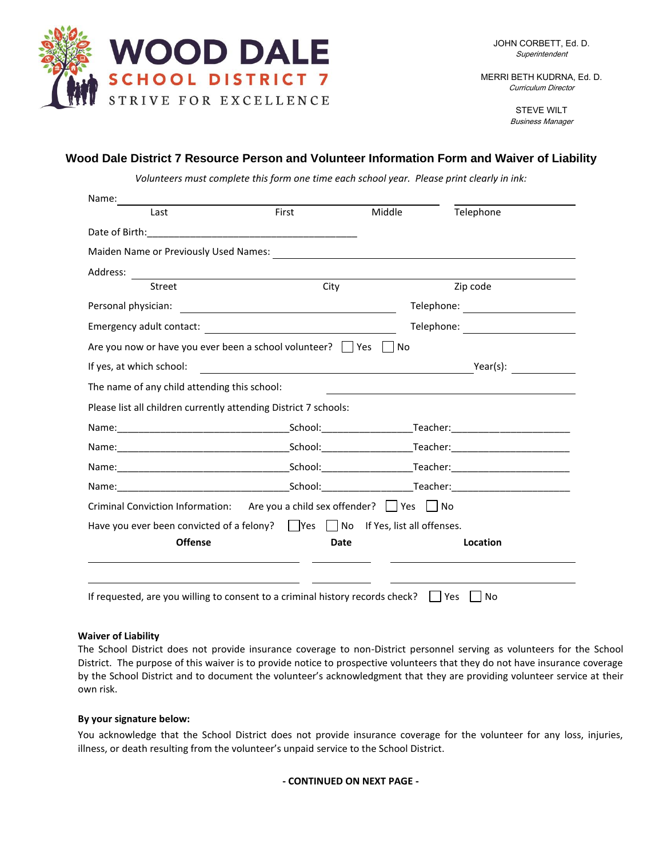

MERRI BETH KUDRNA, Ed. D. Curriculum Director

> STEVE WILT Business Manager

## **Wood Dale District 7 Resource Person and Volunteer Information Form and Waiver of Liability**

*Volunteers must complete this form one time each school year. Please print clearly in ink:*

| Last                                                                          | First                                                                                                                                                                                                                                | Middle | Telephone                                               |
|-------------------------------------------------------------------------------|--------------------------------------------------------------------------------------------------------------------------------------------------------------------------------------------------------------------------------------|--------|---------------------------------------------------------|
|                                                                               |                                                                                                                                                                                                                                      |        |                                                         |
|                                                                               |                                                                                                                                                                                                                                      |        |                                                         |
| Address:                                                                      |                                                                                                                                                                                                                                      |        |                                                         |
| Street                                                                        | City                                                                                                                                                                                                                                 |        | Zip code                                                |
| Personal physician:                                                           | <u> Alexandria de la contrada de la contrada de la contrada de la contrada de la contrada de la contrada de la c</u>                                                                                                                 |        |                                                         |
|                                                                               |                                                                                                                                                                                                                                      |        |                                                         |
| Are you now or have you ever been a school volunteer? □ Yes □ No              |                                                                                                                                                                                                                                      |        |                                                         |
| If yes, at which school:                                                      | <u>and the state of the state of the state of the state of the state of the state of the state of the state of the state of the state of the state of the state of the state of the state of the state of the state of the state</u> |        | Year(s):                                                |
| The name of any child attending this school:                                  |                                                                                                                                                                                                                                      |        | <u> 1989 - Johann Stein, fransk politiker (d. 1989)</u> |
|                                                                               |                                                                                                                                                                                                                                      |        |                                                         |
| Please list all children currently attending District 7 schools:              |                                                                                                                                                                                                                                      |        |                                                         |
|                                                                               |                                                                                                                                                                                                                                      |        |                                                         |
|                                                                               |                                                                                                                                                                                                                                      |        |                                                         |
|                                                                               |                                                                                                                                                                                                                                      |        |                                                         |
|                                                                               |                                                                                                                                                                                                                                      |        |                                                         |
| Criminal Conviction Information: Are you a child sex offender?     Yes     No |                                                                                                                                                                                                                                      |        |                                                         |
| Have you ever been convicted of a felony? Ves No If Yes, list all offenses.   |                                                                                                                                                                                                                                      |        |                                                         |

## **Waiver of Liability**

The School District does not provide insurance coverage to non-District personnel serving as volunteers for the School District. The purpose of this waiver is to provide notice to prospective volunteers that they do not have insurance coverage by the School District and to document the volunteer's acknowledgment that they are providing volunteer service at their own risk.

## **By your signature below:**

You acknowledge that the School District does not provide insurance coverage for the volunteer for any loss, injuries, illness, or death resulting from the volunteer's unpaid service to the School District.

## **- CONTINUED ON NEXT PAGE -**